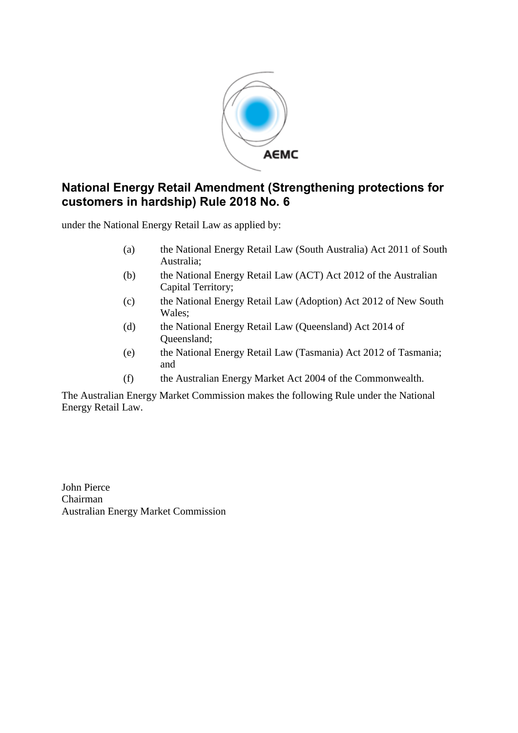

# **National Energy Retail Amendment (Strengthening protections for customers in hardship) Rule 2018 No. 6**

under the National Energy Retail Law as applied by:

- (a) the National Energy Retail Law (South Australia) Act 2011 of South Australia;
- (b) the National Energy Retail Law (ACT) Act 2012 of the Australian Capital Territory;
- (c) the National Energy Retail Law (Adoption) Act 2012 of New South Wales;
- (d) the National Energy Retail Law (Queensland) Act 2014 of Queensland;
- (e) the National Energy Retail Law (Tasmania) Act 2012 of Tasmania; and
- (f) the Australian Energy Market Act 2004 of the Commonwealth.

The Australian Energy Market Commission makes the following Rule under the National Energy Retail Law.

John Pierce Chairman Australian Energy Market Commission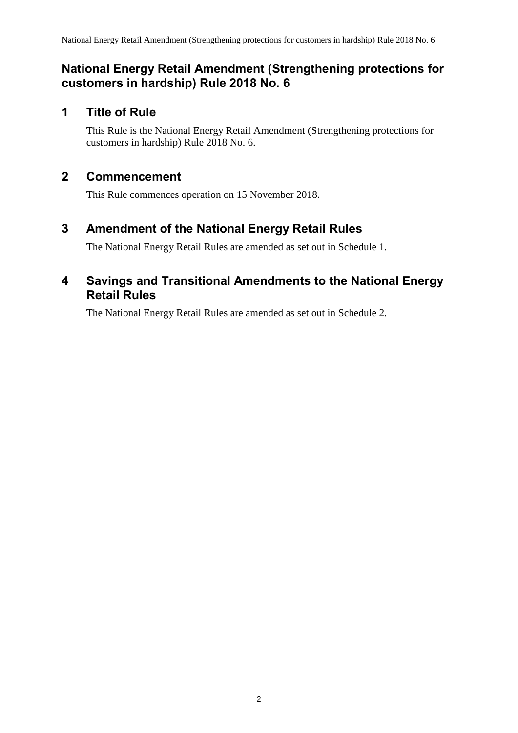# **National Energy Retail Amendment (Strengthening protections for customers in hardship) Rule 2018 No. 6**

# **1 Title of Rule**

This Rule is the National Energy Retail Amendment (Strengthening protections for customers in hardship) Rule 2018 No. 6.

### **2 Commencement**

This Rule commences operation on 15 November 2018.

## <span id="page-1-0"></span>**3 Amendment of the National Energy Retail Rules**

The National Energy Retail Rules are amended as set out in [Schedule 1.](#page-2-0)

### <span id="page-1-1"></span>**4 Savings and Transitional Amendments to the National Energy Retail Rules**

The National Energy Retail Rules are amended as set out in [Schedule 2.](#page-4-0)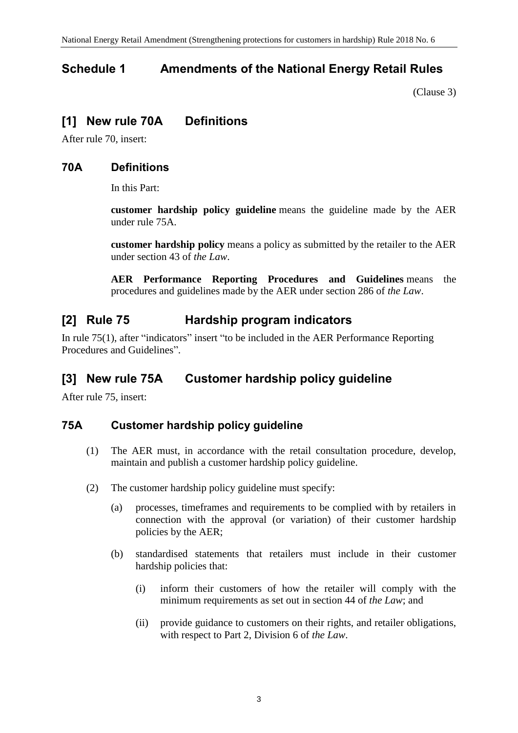# <span id="page-2-0"></span>**Schedule 1 Amendments of the National Energy Retail Rules**

[\(Clause 3\)](#page-1-0)

## **[1] New rule 70A Definitions**

After rule 70, insert:

### **70A Definitions**

In this Part:

**customer hardship policy guideline** means the guideline made by the AER under rule 75A.

**customer hardship policy** means a policy as submitted by the retailer to the AER under section 43 of *the Law*.

**AER Performance Reporting Procedures and Guidelines** means the procedures and guidelines made by the AER under section 286 of *the Law*.

# **[2] Rule 75 Hardship program indicators**

In rule 75(1), after "indicators" insert "to be included in the AER Performance Reporting Procedures and Guidelines".

# **[3] New rule 75A Customer hardship policy guideline**

After rule 75, insert:

### **75A Customer hardship policy guideline**

- (1) The AER must, in accordance with the retail consultation procedure, develop, maintain and publish a customer hardship policy guideline.
- (2) The customer hardship policy guideline must specify:
	- (a) processes, timeframes and requirements to be complied with by retailers in connection with the approval (or variation) of their customer hardship policies by the AER;
	- (b) standardised statements that retailers must include in their customer hardship policies that:
		- (i) inform their customers of how the retailer will comply with the minimum requirements as set out in section 44 of *the Law*; and
		- (ii) provide guidance to customers on their rights, and retailer obligations, with respect to Part 2, Division 6 of *the Law*.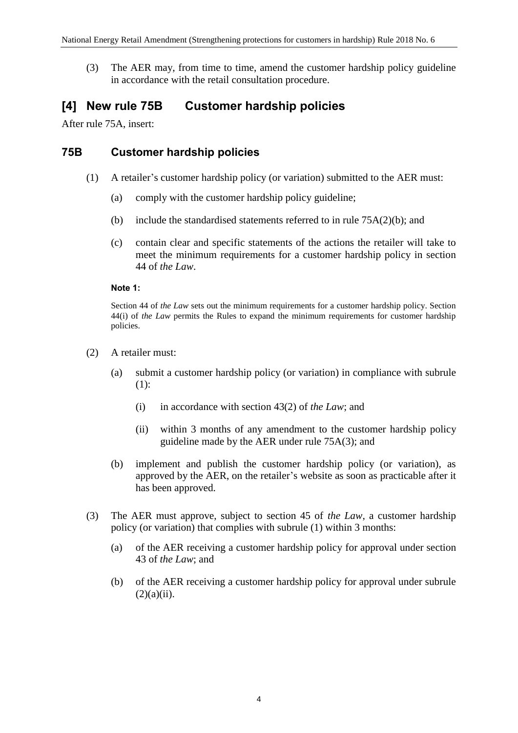(3) The AER may, from time to time, amend the customer hardship policy guideline in accordance with the retail consultation procedure.

### **[4] New rule 75B Customer hardship policies**

After rule 75A, insert:

#### **75B Customer hardship policies**

- (1) A retailer's customer hardship policy (or variation) submitted to the AER must:
	- (a) comply with the customer hardship policy guideline;
	- (b) include the standardised statements referred to in rule  $75A(2)(b)$ ; and
	- (c) contain clear and specific statements of the actions the retailer will take to meet the minimum requirements for a customer hardship policy in section 44 of *the Law*.

#### **Note 1:**

Section 44 of *the Law* sets out the minimum requirements for a customer hardship policy. Section 44(i) of *the Law* permits the Rules to expand the minimum requirements for customer hardship policies.

- (2) A retailer must:
	- (a) submit a customer hardship policy (or variation) in compliance with subrule (1):
		- (i) in accordance with section 43(2) of *the Law*; and
		- (ii) within 3 months of any amendment to the customer hardship policy guideline made by the AER under rule 75A(3); and
	- (b) implement and publish the customer hardship policy (or variation), as approved by the AER, on the retailer's website as soon as practicable after it has been approved.
- (3) The AER must approve, subject to section 45 of *the Law*, a customer hardship policy (or variation) that complies with subrule (1) within 3 months:
	- (a) of the AER receiving a customer hardship policy for approval under section 43 of *the Law*; and
	- (b) of the AER receiving a customer hardship policy for approval under subrule  $(2)(a)(ii)$ .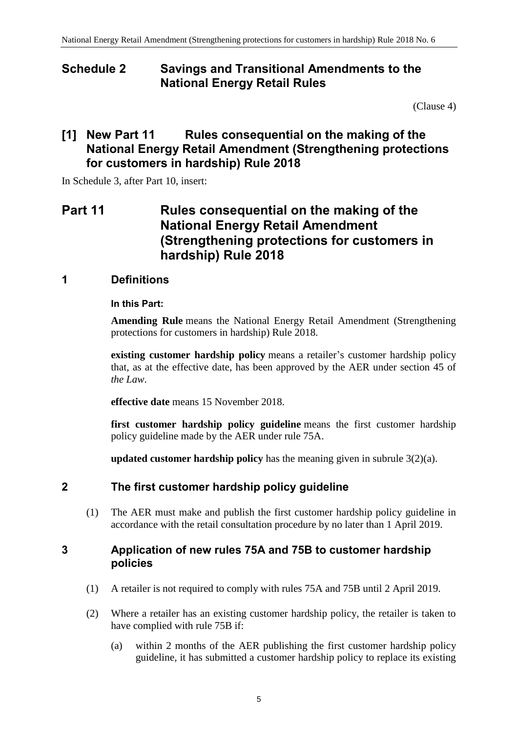### <span id="page-4-0"></span>**Schedule 2 Savings and Transitional Amendments to the National Energy Retail Rules**

[\(Clause 4\)](#page-1-1)

# **[1] New Part 11 Rules consequential on the making of the National Energy Retail Amendment (Strengthening protections for customers in hardship) Rule 2018**

In Schedule 3, after Part 10, insert:

# **Part 11 Rules consequential on the making of the National Energy Retail Amendment (Strengthening protections for customers in hardship) Rule 2018**

### **1 Definitions**

#### **In this Part:**

**Amending Rule** means the National Energy Retail Amendment (Strengthening protections for customers in hardship) Rule 2018.

**existing customer hardship policy** means a retailer's customer hardship policy that, as at the effective date, has been approved by the AER under section 45 of *the Law*.

**effective date** means 15 November 2018.

**first customer hardship policy guideline** means the first customer hardship policy guideline made by the AER under rule 75A.

**updated customer hardship policy** has the meaning given in subrule 3(2)(a).

### **2 The first customer hardship policy guideline**

(1) The AER must make and publish the first customer hardship policy guideline in accordance with the retail consultation procedure by no later than 1 April 2019.

### **3 Application of new rules 75A and 75B to customer hardship policies**

- (1) A retailer is not required to comply with rules 75A and 75B until 2 April 2019.
- (2) Where a retailer has an existing customer hardship policy, the retailer is taken to have complied with rule 75B if:
	- (a) within 2 months of the AER publishing the first customer hardship policy guideline, it has submitted a customer hardship policy to replace its existing